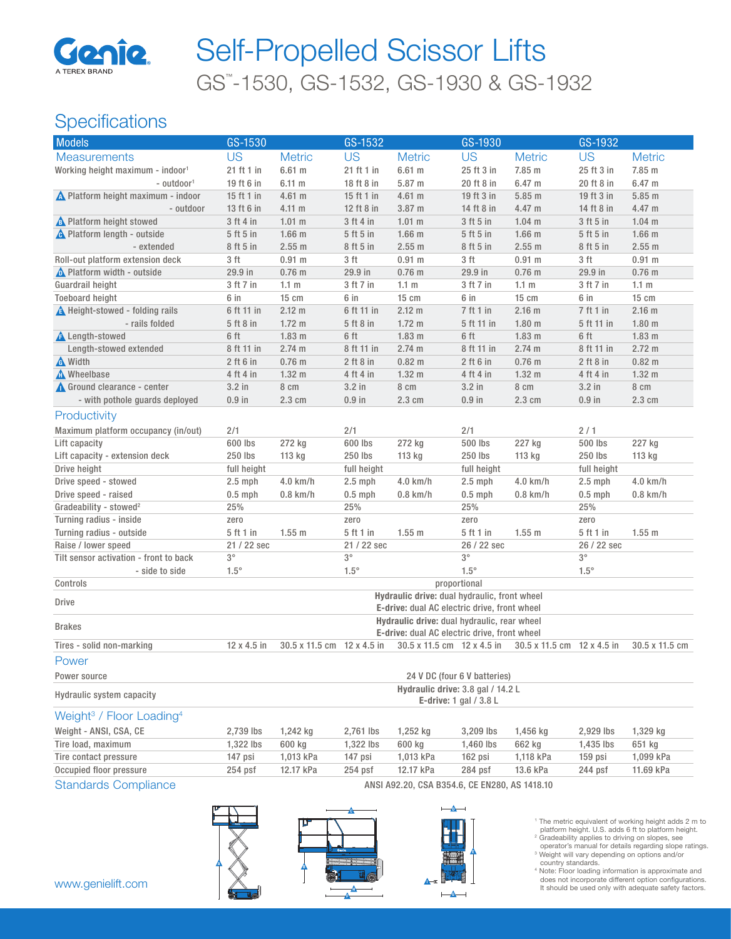

# GS™ -1530, GS-1532, GS-1930 & GS-1932 Self-Propelled Scissor Lifts

## **Specifications**

| <b>Models</b>                                    | GS-1530                                      |                                                               | GS-1532       |                            | GS-1930     |                            | GS-1932       |                   |  |
|--------------------------------------------------|----------------------------------------------|---------------------------------------------------------------|---------------|----------------------------|-------------|----------------------------|---------------|-------------------|--|
| <b>Measurements</b>                              | <b>US</b>                                    | <b>Metric</b>                                                 | <b>US</b>     | <b>Metric</b>              | <b>US</b>   | <b>Metric</b>              | <b>US</b>     | <b>Metric</b>     |  |
| Working height maximum - indoor <sup>1</sup>     | 21 ft 1 in                                   | 6.61 m                                                        | 21 ft 1 in    | 6.61 m                     | 25 ft 3 in  | 7.85 m                     | 25 ft 3 in    | 7.85 m            |  |
| - outdoor <sup>1</sup>                           | 19 ft 6 in                                   | $6.11 \text{ m}$                                              | 18 ft 8 in    | 5.87 m                     | 20 ft 8 in  | 6.47 <sub>m</sub>          | 20 ft 8 in    | 6.47 m            |  |
| No Platform height maximum - indoor              | 15 ft 1 in                                   | 4.61 m                                                        | 15 ft 1 in    | $4.61$ m                   | 19 ft 3 in  | $5.85$ m                   | 19 ft 3 in    | 5.85 m            |  |
| - outdoor                                        | 13 ft 6 in                                   | $4.11 \text{ m}$                                              | 12 ft 8 in    | 3.87 m                     | 14 ft 8 in  | 4.47 m                     | 14 ft 8 in    | 4.47 m            |  |
| <b>A</b> Platform height stowed                  | 3 ft 4 in                                    | $1.01$ m                                                      | 3 ft 4 in     | 1.01 m                     | 3 ft 5 in   | $1.04$ m                   | 3 ft 5 in     | $1.04$ m          |  |
| <b>A</b> Platform length - outside               | 5 ft 5 in                                    | $1.66$ m                                                      | 5 ft 5 in     | $1.66$ m                   | 5 ft 5 in   | $1.66$ m                   | 5 ft 5 in     | $1.66$ m          |  |
| - extended                                       | 8 ft 5 in                                    | 2.55 m                                                        | 8 ft 5 in     | 2.55 m                     | 8 ft 5 in   | 2.55 m                     | 8 ft 5 in     | 2.55 m            |  |
| Roll-out platform extension deck                 | 3 ft                                         | $0.91$ m                                                      | 3 ft          | $0.91$ m                   | 3 ft        | $0.91$ m                   | 3 ft          | $0.91$ m          |  |
| No Platform width - outside                      | 29.9 in                                      | $0.76$ m                                                      | 29.9 in       | $0.76$ m                   | 29.9 in     | $0.76$ m                   | 29.9 in       | $0.76$ m          |  |
| Guardrail height                                 | 3 ft 7 in                                    | 1.1 <sub>m</sub>                                              | 3 ft 7 in     | 1.1 <sub>m</sub>           | 3 ft 7 in   | 1.1 <sub>m</sub>           | 3 ft 7 in     | 1.1 <sub>m</sub>  |  |
| <b>Toeboard height</b>                           | 6 in                                         | 15 cm                                                         | 6 in          | 15 cm                      | 6 in        | 15 cm                      | 6 in          | 15 cm             |  |
| <b>A</b> Height-stowed - folding rails           | 6 ft 11 in                                   | 2.12 m                                                        | 6 ft 11 in    | 2.12 m                     | $7$ ft 1 in | $2.16$ m                   | 7 ft 1 in     | $2.16$ m          |  |
| - rails folded                                   | 5 ft 8 in                                    | $1.72 \text{ m}$                                              | 5 ft 8 in     | $1.72 \text{ m}$           | 5 ft 11 in  | 1.80 <sub>m</sub>          | 5 ft 11 in    | 1.80 <sub>m</sub> |  |
| <b>A</b> Length-stowed                           | 6 ft                                         | 1.83 <sub>m</sub>                                             | 6 ft          | 1.83 <sub>m</sub>          | 6 ft        | 1.83 <sub>m</sub>          | 6 ft          | 1.83 <sub>m</sub> |  |
| Length-stowed extended                           | 8 ft 11 in                                   | 2.74 m                                                        | 8 ft 11 in    | 2.74 m                     | 8 ft 11 in  | 2.74 m                     | 8 ft 11 in    | $2.72 \text{ m}$  |  |
| <b>A</b> Width                                   | $2$ ft 6 in                                  | $0.76$ m                                                      | $2$ ft $8$ in | $0.82 \text{ m}$           | $2$ ft 6 in | $0.76$ m                   | $2$ ft $8$ in | $0.82$ m          |  |
| <b>A</b> Wheelbase                               | 4 ft 4 in                                    | 1.32 <sub>m</sub>                                             | 4 ft 4 in     | 1.32 <sub>m</sub>          | 4 ft 4 in   | 1.32 <sub>m</sub>          | 4 ft 4 in     | 1.32 <sub>m</sub> |  |
| Ground clearance - center                        | $3.2$ in                                     | 8 cm                                                          | $3.2$ in      | 8 cm                       | $3.2$ in    | 8 cm                       | $3.2$ in      | 8 cm              |  |
| - with pothole guards deployed                   | $0.9$ in                                     | 2.3 cm                                                        | $0.9$ in      | 2.3 cm                     | $0.9$ in    | $2.3 \text{ cm}$           | $0.9$ in      | 2.3 cm            |  |
| Productivity                                     |                                              |                                                               |               |                            |             |                            |               |                   |  |
| Maximum platform occupancy (in/out)              | 2/1                                          |                                                               | 2/1           |                            | 2/1         |                            | 2/1           |                   |  |
| Lift capacity                                    | 600 lbs                                      | 272 kg                                                        | 600 lbs       | 272 kg                     | 500 lbs     | 227 kg                     | 500 lbs       | 227 kg            |  |
| Lift capacity - extension deck                   | 250 lbs                                      | 113 kg                                                        | 250 lbs       | 113 kg                     | 250 lbs     | 113 kg                     | 250 lbs       | 113 kg            |  |
| Drive height                                     | full height                                  |                                                               | full height   |                            | full height |                            | full height   |                   |  |
| Drive speed - stowed                             | $2.5$ mph                                    | 4.0 km/h                                                      | $2.5$ mph     | 4.0 km/h                   | $2.5$ mph   | 4.0 km/h                   | $2.5$ mph     | 4.0 km/h          |  |
| Drive speed - raised                             | $0.5$ mph                                    | $0.8$ km/h                                                    | $0.5$ mph     | $0.8$ km/h                 | $0.5$ mph   | $0.8$ km/h                 | $0.5$ mph     | $0.8$ km/h        |  |
| Gradeability - stowed <sup>2</sup>               | 25%                                          |                                                               | 25%           |                            | 25%         |                            | 25%           |                   |  |
| Turning radius - inside                          | zero                                         |                                                               | zero          |                            | zero        |                            | zero          |                   |  |
| Turning radius - outside                         | 5 ft 1 in                                    | $1.55$ m                                                      | 5 ft 1 in     | $1.55$ m                   | 5 ft 1 in   | $1.55$ m                   | 5 ft 1 in     | $1.55$ m          |  |
| Raise / lower speed                              | 21 / 22 sec                                  |                                                               | 21 / 22 sec   |                            | 26 / 22 sec |                            | 26 / 22 sec   |                   |  |
| Tilt sensor activation - front to back           | $3^{\circ}$                                  |                                                               | $3^{\circ}$   |                            | $3^{\circ}$ |                            | $3^{\circ}$   |                   |  |
| - side to side                                   | $1.5^\circ$                                  |                                                               | $1.5^\circ$   |                            | $1.5^\circ$ |                            | $1.5^\circ$   |                   |  |
| Controls                                         | proportional                                 |                                                               |               |                            |             |                            |               |                   |  |
| Drive                                            |                                              | Hydraulic drive: dual hydraulic, front wheel                  |               |                            |             |                            |               |                   |  |
|                                                  | E-drive: dual AC electric drive, front wheel |                                                               |               |                            |             |                            |               |                   |  |
| <b>Brakes</b>                                    | Hydraulic drive: dual hydraulic, rear wheel  |                                                               |               |                            |             |                            |               |                   |  |
|                                                  | E-drive: dual AC electric drive, front wheel |                                                               |               |                            |             |                            |               |                   |  |
| Tires - solid non-marking                        | 12 x 4.5 in                                  | 30.5 x 11.5 cm 12 x 4.5 in                                    |               | 30.5 x 11.5 cm 12 x 4.5 in |             | 30.5 x 11.5 cm 12 x 4.5 in |               | 30.5 x 11.5 cm    |  |
| Power                                            |                                              |                                                               |               |                            |             |                            |               |                   |  |
| Power source                                     | 24 V DC (four 6 V batteries)                 |                                                               |               |                            |             |                            |               |                   |  |
| Hydraulic system capacity                        |                                              | Hydraulic drive: 3.8 gal / 14.2 L<br>E-drive: 1 gal $/$ 3.8 L |               |                            |             |                            |               |                   |  |
| Weight <sup>3</sup> / Floor Loading <sup>4</sup> |                                              |                                                               |               |                            |             |                            |               |                   |  |
| Weight - ANSI, CSA, CE                           | 2,739 lbs                                    | 1,242 kg                                                      | 2,761 lbs     | 1,252 kg                   | 3,209 lbs   | 1,456 kg                   | 2,929 lbs     | 1,329 kg          |  |
| Tire load, maximum                               | 1,322 lbs                                    | 600 kg                                                        | 1,322 lbs     | 600 kg                     | 1,460 lbs   | 662 kg                     | 1,435 lbs     | 651 kg            |  |
| Tire contact pressure                            | 147 psi                                      | 1,013 kPa                                                     | 147 psi       | 1,013 kPa                  | 162 psi     | 1,118 kPa                  | 159 psi       | 1,099 kPa         |  |
| Occupied floor pressure                          | 254 psf                                      | 12.17 kPa                                                     | $254$ psf     | 12.17 kPa                  | 284 psf     | 13.6 kPa                   | 244 psf       | 11.69 kPa         |  |
|                                                  |                                              |                                                               |               |                            |             |                            |               |                   |  |

Standards Compliance **ANSI A92.20, CSA B354.6, CE EN280, AS 1418.10** 







<sup>1</sup> The metric equivalent of working height adds 2 m to platform height. U.S. adds 6 ft to platform height.

<sup>2</sup> Gradeability applies to driving on slopes, see<br>operator's manual for details regarding slope ratings.<br><sup>3</sup> Weight will vary depending on options and/or

country standards. 4 Note: Floor loading information is approximate and does not incorporate different option configurations. It should be used only with adequate safety factors.